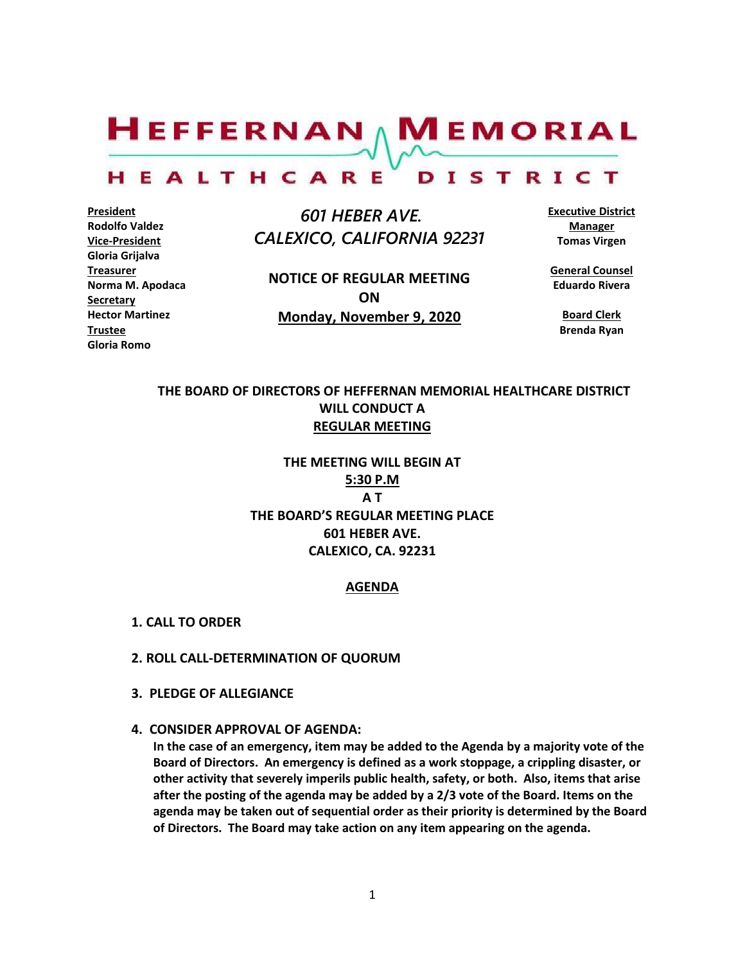$H$ EFFERNAN  $\wedge$  M EMORIAL

#### HEALTHCARE DISTRICT

**President Rodolfo Valdez Vice-President Gloria Grijalva Treasurer Norma M. Apodaca Secretary Hector Martinez Trustee Gloria Romo**

 *601 HEBER AVE. CALEXICO, CALIFORNIA 92231*

**NOTICE OF REGULAR MEETING ON Monday, November 9, 2020**

**Executive District Manager Tomas Virgen**

**General Counsel Eduardo Rivera**

**Board Clerk Brenda Ryan**

## **THE BOARD OF DIRECTORS OF HEFFERNAN MEMORIAL HEALTHCARE DISTRICT WILL CONDUCT A REGULAR MEETING**

**THE MEETING WILL BEGIN AT 5:30 P.M A T THE BOARD'S REGULAR MEETING PLACE 601 HEBER AVE. CALEXICO, CA. 92231**

#### **AGENDA**

- **1. CALL TO ORDER**
- **2. ROLL CALL-DETERMINATION OF QUORUM**
- **3. PLEDGE OF ALLEGIANCE**
- **4. CONSIDER APPROVAL OF AGENDA:**

**In the case of an emergency, item may be added to the Agenda by a majority vote of the Board of Directors. An emergency is defined as a work stoppage, a crippling disaster, or other activity that severely imperils public health, safety, or both. Also, items that arise after the posting of the agenda may be added by a 2/3 vote of the Board. Items on the agenda may be taken out of sequential order as their priority is determined by the Board of Directors. The Board may take action on any item appearing on the agenda.**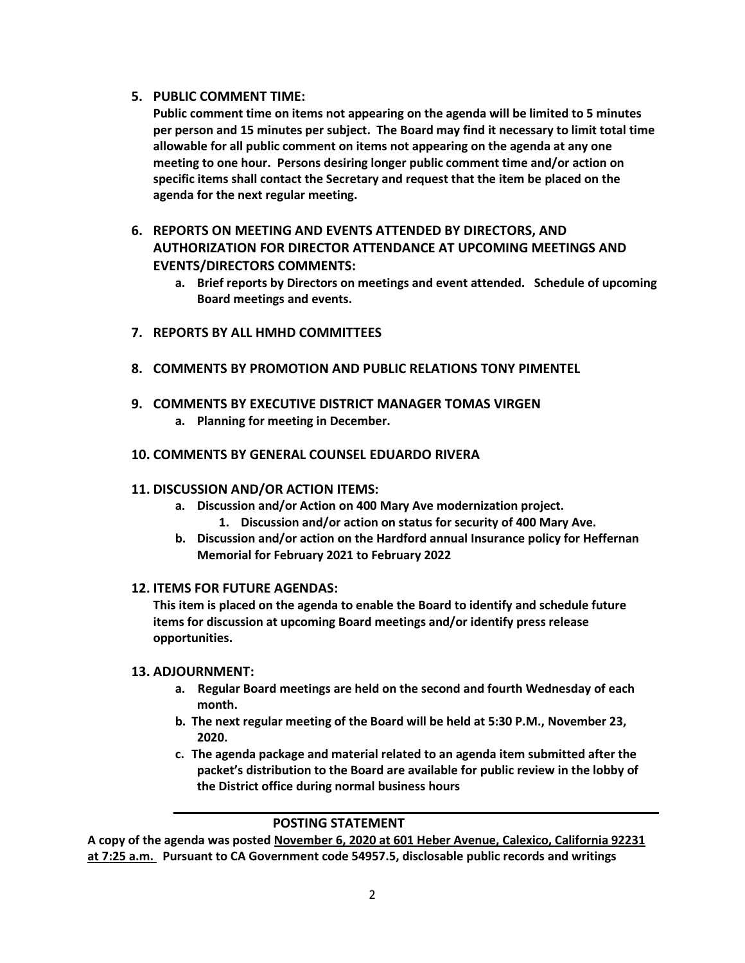#### **5. PUBLIC COMMENT TIME:**

**Public comment time on items not appearing on the agenda will be limited to 5 minutes per person and 15 minutes per subject. The Board may find it necessary to limit total time allowable for all public comment on items not appearing on the agenda at any one meeting to one hour. Persons desiring longer public comment time and/or action on specific items shall contact the Secretary and request that the item be placed on the agenda for the next regular meeting.**

# **6. REPORTS ON MEETING AND EVENTS ATTENDED BY DIRECTORS, AND AUTHORIZATION FOR DIRECTOR ATTENDANCE AT UPCOMING MEETINGS AND EVENTS/DIRECTORS COMMENTS:**

- **a. Brief reports by Directors on meetings and event attended. Schedule of upcoming Board meetings and events.**
- **7. REPORTS BY ALL HMHD COMMITTEES**
- **8. COMMENTS BY PROMOTION AND PUBLIC RELATIONS TONY PIMENTEL**
- **9. COMMENTS BY EXECUTIVE DISTRICT MANAGER TOMAS VIRGEN**
	- **a. Planning for meeting in December.**

#### **10. COMMENTS BY GENERAL COUNSEL EDUARDO RIVERA**

#### **11. DISCUSSION AND/OR ACTION ITEMS:**

- **a. Discussion and/or Action on 400 Mary Ave modernization project. 1. Discussion and/or action on status for security of 400 Mary Ave.**
- **b. Discussion and/or action on the Hardford annual Insurance policy for Heffernan Memorial for February 2021 to February 2022**

#### **12. ITEMS FOR FUTURE AGENDAS:**

**This item is placed on the agenda to enable the Board to identify and schedule future items for discussion at upcoming Board meetings and/or identify press release opportunities.**

#### **13. ADJOURNMENT:**

- **a. Regular Board meetings are held on the second and fourth Wednesday of each month.**
- **b. The next regular meeting of the Board will be held at 5:30 P.M., November 23, 2020.**
- **c. The agenda package and material related to an agenda item submitted after the packet's distribution to the Board are available for public review in the lobby of the District office during normal business hours**

### **POSTING STATEMENT**

**A copy of the agenda was posted November 6, 2020 at 601 Heber Avenue, Calexico, California 92231 at 7:25 a.m. Pursuant to CA Government code 54957.5, disclosable public records and writings**